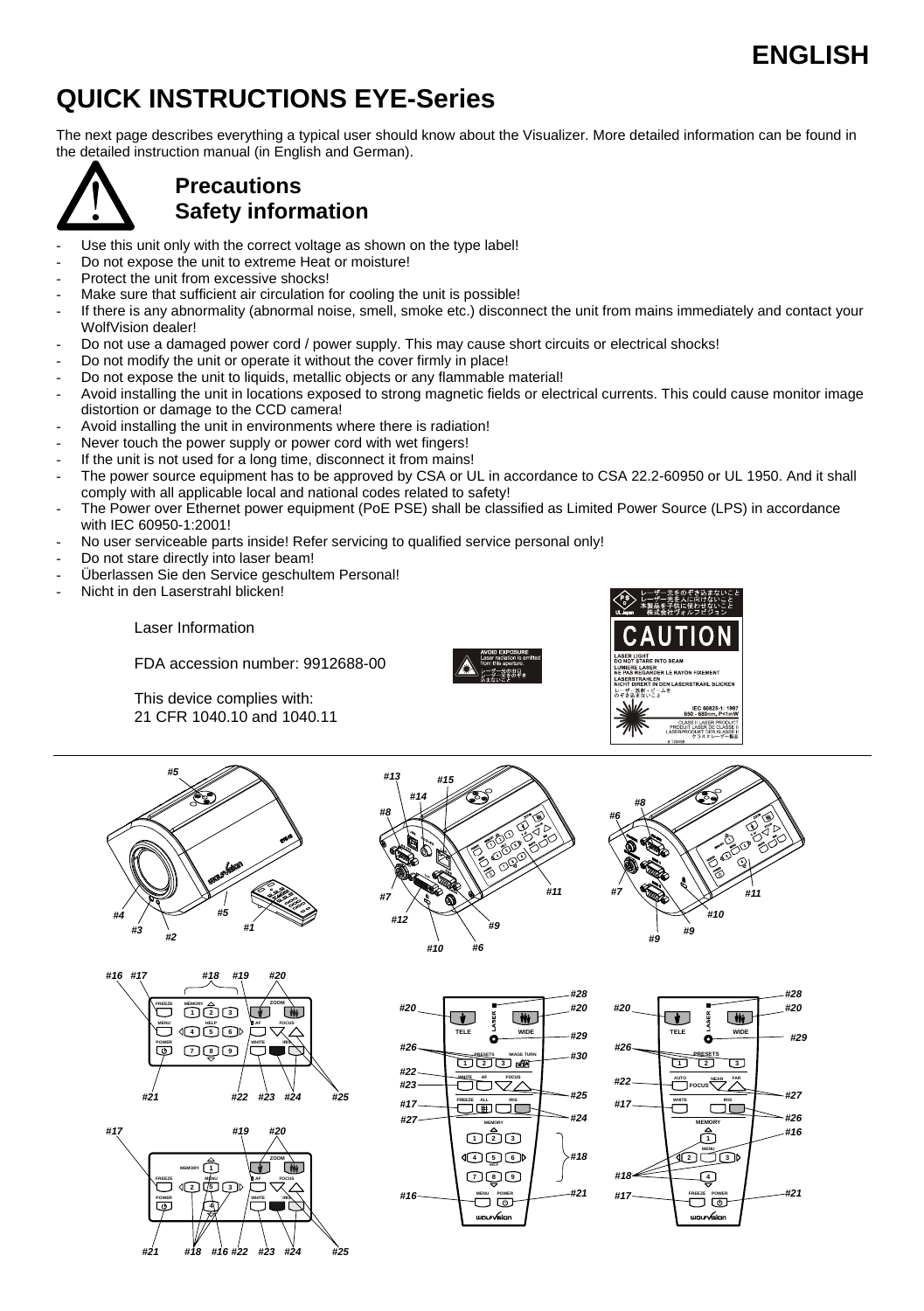# **ENGLISH**  $\sim$  2007  $\sim$  2008  $\sim$  2008  $\sim$  2008  $\sim$  2008  $\sim$  2008  $\sim$  2008  $\sim$

# **QUICK INSTRUCTIONS EYE-Series**

The next page describes everything a typical user should know about the Visualizer. More detailed information can be found in the detailed instruction manual (in English and German).



### **Precautions Safety information**

- Use this unit only with the correct voltage as shown on the type label!
- Do not expose the unit to extreme Heat or moisture!
- Protect the unit from excessive shocks!
- Make sure that sufficient air circulation for cooling the unit is possible!
- If there is any abnormality (abnormal noise, smell, smoke etc.) disconnect the unit from mains immediately and contact your WolfVision dealer!
- Do not use a damaged power cord / power supply. This may cause short circuits or electrical shocks!
- Do not modify the unit or operate it without the cover firmly in place!
- Do not expose the unit to liquids, metallic objects or any flammable material!
- Avoid installing the unit in locations exposed to strong magnetic fields or electrical currents. This could cause monitor image distortion or damage to the CCD camera!
- Avoid installing the unit in environments where there is radiation!
- Never touch the power supply or power cord with wet fingers!
- If the unit is not used for a long time, disconnect it from mains!
- The power source equipment has to be approved by CSA or UL in accordance to CSA 22.2-60950 or UL 1950. And it shall comply with all applicable local and national codes related to safety!
- The Power over Ethernet power equipment (PoE PSE) shall be classified as Limited Power Source (LPS) in accordance with IEC 60950-1:2001!
- No user serviceable parts inside! Refer servicing to qualified service personal only!
- Do not stare directly into laser beam!
- Überlassen Sie den Service geschultem Personal!
- Nicht in den Laserstrahl blicken!

Laser Information

FDA accession number: 9912688-00

 This device complies with: 21 CFR 1040.10 and 1040.11